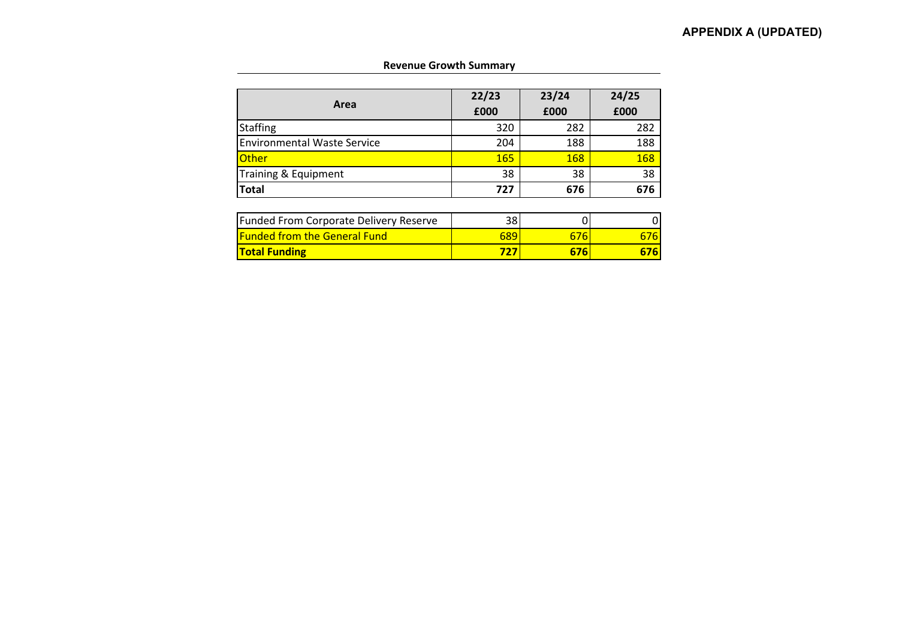| Area                                          | 22/23<br>£000 | 23/24<br>£000 | 24/25<br>£000 |  |  |
|-----------------------------------------------|---------------|---------------|---------------|--|--|
| <b>Staffing</b>                               | 320           | 282           | 282           |  |  |
| <b>Environmental Waste Service</b>            | 204           | 188           | 188           |  |  |
| <b>Other</b>                                  | 165           | 168           | <b>168</b>    |  |  |
| Training & Equipment                          | 38            | 38            | 38            |  |  |
| <b>Total</b>                                  | 727           | 676           | 676           |  |  |
|                                               |               |               |               |  |  |
| <b>Funded From Corporate Delivery Reserve</b> | 38            |               |               |  |  |
| <b>Funded from the General Fund</b>           | 689           | 676           | 676           |  |  |

**Total Funding 727 676 676**

## **Revenue Growth Summary**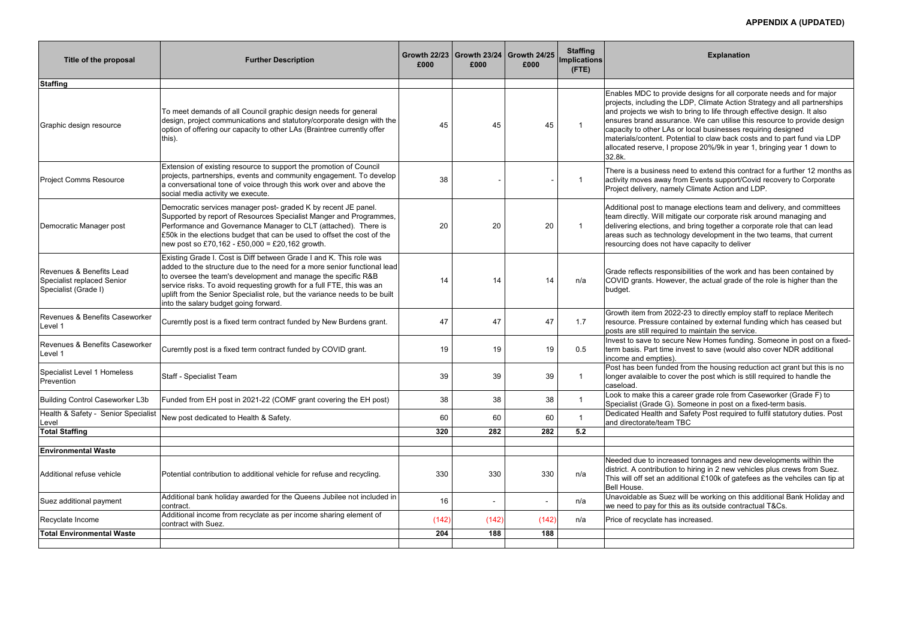| Title of the proposal                                                          | <b>Further Description</b>                                                                                                                                                                                                                                                                                                                                                                                       | £000  | £000   | Growth 22/23   Growth 23/24   Growth 24/25<br>£000 | <b>Staffing</b><br><b>Implications</b><br>$($ FTE $)$ | <b>Explanation</b>                                                                                                                                                                                                                                                                                                                                                                                                                                                                                                                      |
|--------------------------------------------------------------------------------|------------------------------------------------------------------------------------------------------------------------------------------------------------------------------------------------------------------------------------------------------------------------------------------------------------------------------------------------------------------------------------------------------------------|-------|--------|----------------------------------------------------|-------------------------------------------------------|-----------------------------------------------------------------------------------------------------------------------------------------------------------------------------------------------------------------------------------------------------------------------------------------------------------------------------------------------------------------------------------------------------------------------------------------------------------------------------------------------------------------------------------------|
| <b>Staffing</b>                                                                |                                                                                                                                                                                                                                                                                                                                                                                                                  |       |        |                                                    |                                                       |                                                                                                                                                                                                                                                                                                                                                                                                                                                                                                                                         |
| Graphic design resource                                                        | To meet demands of all Council graphic design needs for general<br>design, project communications and statutory/corporate design with the<br>option of offering our capacity to other LAs (Braintree currently offer<br>this).                                                                                                                                                                                   | 45    | 45     | 45                                                 | $\overline{\mathbf{1}}$                               | Enables MDC to provide designs for all corporate needs and for major<br>projects, including the LDP, Climate Action Strategy and all partnerships<br>and projects we wish to bring to life through effective design. It also<br>ensures brand assurance. We can utilise this resource to provide design<br>capacity to other LAs or local businesses requiring designed<br>materials/content. Potential to claw back costs and to part fund via LDP<br>allocated reserve, I propose 20%/9k in year 1, bringing year 1 down to<br>32.8k. |
| <b>Project Comms Resource</b>                                                  | Extension of existing resource to support the promotion of Council<br>projects, partnerships, events and community engagement. To develop<br>a conversational tone of voice through this work over and above the<br>social media activity we execute.                                                                                                                                                            | 38    |        |                                                    | -1                                                    | There is a business need to extend this contract for a further 12 months a<br>activity moves away from Events support/Covid recovery to Corporate<br>Project delivery, namely Climate Action and LDP.                                                                                                                                                                                                                                                                                                                                   |
| Democratic Manager post                                                        | Democratic services manager post- graded K by recent JE panel.<br>Supported by report of Resources Specialist Manger and Programmes,<br>Performance and Governance Manager to CLT (attached). There is<br>£50k in the elections budget that can be used to offset the cost of the<br>new post so £70,162 - £50,000 = £20,162 growth.                                                                             | 20    | 20     | 20                                                 | -1                                                    | Additional post to manage elections team and delivery, and committees<br>team directly. Will mitigate our corporate risk around managing and<br>delivering elections, and bring together a corporate role that can lead<br>areas such as technology development in the two teams, that current<br>resourcing does not have capacity to deliver                                                                                                                                                                                          |
| Revenues & Benefits Lead<br>Specialist replaced Senior<br>Specialist (Grade I) | Existing Grade I. Cost is Diff between Grade I and K. This role was<br>added to the structure due to the need for a more senior functional lead<br>to oversee the team's development and manage the specific R&B<br>service risks. To avoid requesting growth for a full FTE, this was an<br>uplift from the Senior Specialist role, but the variance needs to be built<br>into the salary budget going forward. |       | 14     | 14                                                 | n/a                                                   | Grade reflects responsibilities of the work and has been contained by<br>COVID grants. However, the actual grade of the role is higher than the<br>budget.                                                                                                                                                                                                                                                                                                                                                                              |
| Revenues & Benefits Caseworker<br>Level 1                                      | Curerntly post is a fixed term contract funded by New Burdens grant.                                                                                                                                                                                                                                                                                                                                             | 47    | 47     | 47                                                 | 1.7                                                   | Growth item from 2022-23 to directly employ staff to replace Meritech<br>resource. Pressure contained by external funding which has ceased but<br>posts are still required to maintain the service.                                                                                                                                                                                                                                                                                                                                     |
| Revenues & Benefits Caseworker<br>Level 1                                      | Curerntly post is a fixed term contract funded by COVID grant.                                                                                                                                                                                                                                                                                                                                                   | 19    | 19     | 19                                                 | 0.5                                                   | Invest to save to secure New Homes funding. Someone in post on a fixed<br>term basis. Part time invest to save (would also cover NDR additional<br>income and empties).                                                                                                                                                                                                                                                                                                                                                                 |
| Specialist Level 1 Homeless<br>Prevention                                      | Staff - Specialist Team                                                                                                                                                                                                                                                                                                                                                                                          | 39    | 39     | 39                                                 |                                                       | Post has been funded from the housing reduction act grant but this is no<br>longer avalaible to cover the post which is still required to handle the<br>caseload.                                                                                                                                                                                                                                                                                                                                                                       |
| Building Control Caseworker L3b                                                | Funded from EH post in 2021-22 (COMF grant covering the EH post)                                                                                                                                                                                                                                                                                                                                                 | 38    | 38     | 38                                                 |                                                       | Look to make this a career grade role from Caseworker (Grade F) to<br>Specialist (Grade G). Someone in post on a fixed-term basis.                                                                                                                                                                                                                                                                                                                                                                                                      |
| Health & Safety - Senior Specialist<br>Level                                   | New post dedicated to Health & Safety.                                                                                                                                                                                                                                                                                                                                                                           | 60    | 60     | 60                                                 |                                                       | Dedicated Health and Safety Post required to fulfil statutory duties. Post<br>and directorate/team TBC                                                                                                                                                                                                                                                                                                                                                                                                                                  |
| <b>Total Staffing</b>                                                          |                                                                                                                                                                                                                                                                                                                                                                                                                  | 320   | 282    | 282                                                | 5.2                                                   |                                                                                                                                                                                                                                                                                                                                                                                                                                                                                                                                         |
| <b>Environmental Waste</b>                                                     |                                                                                                                                                                                                                                                                                                                                                                                                                  |       |        |                                                    |                                                       |                                                                                                                                                                                                                                                                                                                                                                                                                                                                                                                                         |
| Additional refuse vehicle                                                      | Potential contribution to additional vehicle for refuse and recycling.                                                                                                                                                                                                                                                                                                                                           | 330   | 330    | 330                                                | n/a                                                   | Needed due to increased tonnages and new developments within the<br>district. A contribution to hiring in 2 new vehicles plus crews from Suez.<br>This will off set an additional £100k of gatefees as the vehciles can tip at<br>Bell House.                                                                                                                                                                                                                                                                                           |
| Suez additional payment                                                        | Additional bank holiday awarded for the Queens Jubilee not included in<br>contract.                                                                                                                                                                                                                                                                                                                              | 16    | $\sim$ |                                                    | n/a                                                   | Unavoidable as Suez will be working on this additional Bank Holiday and<br>we need to pay for this as its outside contractual T&Cs.                                                                                                                                                                                                                                                                                                                                                                                                     |
| Recyclate Income                                                               | Additional income from recyclate as per income sharing element of<br>contract with Suez.                                                                                                                                                                                                                                                                                                                         | (142) | (142)  | (142)                                              | n/a                                                   | Price of recyclate has increased.                                                                                                                                                                                                                                                                                                                                                                                                                                                                                                       |
| <b>Total Environmental Waste</b>                                               |                                                                                                                                                                                                                                                                                                                                                                                                                  | 204   | 188    | 188                                                |                                                       |                                                                                                                                                                                                                                                                                                                                                                                                                                                                                                                                         |
|                                                                                |                                                                                                                                                                                                                                                                                                                                                                                                                  |       |        |                                                    |                                                       |                                                                                                                                                                                                                                                                                                                                                                                                                                                                                                                                         |

# **APPENDIX A (UPDATED)**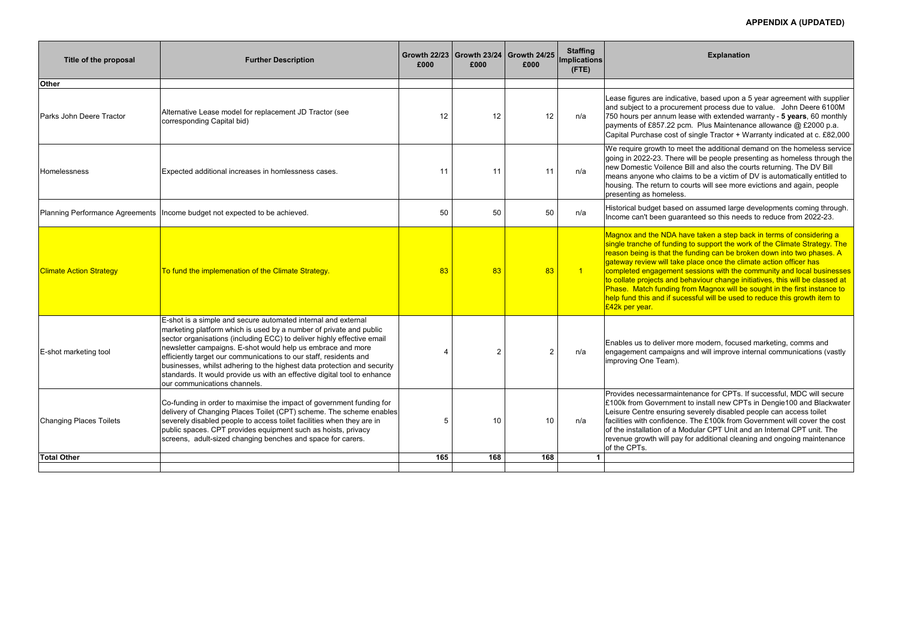| Title of the proposal          | <b>Further Description</b>                                                                                                                                                                                                                                                                                                                                                                                                                                                                                                               | £000 | Growth 22/23   Growth 23/24   Growth 24/25<br>£000 | £000           | <b>Staffing</b><br>Implications<br>$($ FTE $)$ | <b>Explanation</b>                                                                                                                                                                                                                                                                                                                                                                                   |  |
|--------------------------------|------------------------------------------------------------------------------------------------------------------------------------------------------------------------------------------------------------------------------------------------------------------------------------------------------------------------------------------------------------------------------------------------------------------------------------------------------------------------------------------------------------------------------------------|------|----------------------------------------------------|----------------|------------------------------------------------|------------------------------------------------------------------------------------------------------------------------------------------------------------------------------------------------------------------------------------------------------------------------------------------------------------------------------------------------------------------------------------------------------|--|
| <b>Other</b>                   |                                                                                                                                                                                                                                                                                                                                                                                                                                                                                                                                          |      |                                                    |                |                                                |                                                                                                                                                                                                                                                                                                                                                                                                      |  |
| Parks John Deere Tractor       | Alternative Lease model for replacement JD Tractor (see<br>corresponding Capital bid)                                                                                                                                                                                                                                                                                                                                                                                                                                                    | 12   | 12                                                 | 12             | n/a                                            | Lease figures are indicative, based upon a<br>and subject to a procurement process due t<br>750 hours per annum lease with extended v<br>payments of £857.22 pcm. Plus Maintenan<br>Capital Purchase cost of single Tractor + W                                                                                                                                                                      |  |
| Homelessness                   | Expected additional increases in homlessness cases.                                                                                                                                                                                                                                                                                                                                                                                                                                                                                      | 11   | 11                                                 | 11             | n/a                                            | We require growth to meet the additional de<br>going in 2022-23. There will be people pres<br>new Domestic Voilence Bill and also the cor<br>means anyone who claims to be a victim of<br>housing. The return to courts will see more<br>presenting as homeless.                                                                                                                                     |  |
|                                | Planning Performance Agreements   Income budget not expected to be achieved.                                                                                                                                                                                                                                                                                                                                                                                                                                                             | 50   | 50                                                 | 50             | n/a                                            | Historical budget based on assumed large o<br>Income can't been guaranteed so this need                                                                                                                                                                                                                                                                                                              |  |
| <b>Climate Action Strategy</b> | To fund the implemenation of the Climate Strategy.                                                                                                                                                                                                                                                                                                                                                                                                                                                                                       | 83   | 83                                                 | 83             | $\overline{1}$                                 | Magnox and the NDA have taken a step ba<br>single tranche of funding to support the wor<br>reason being is that the funding can be brok<br>gateway review will take place once the clim<br>completed engagement sessions with the co<br>to collate projects and behaviour change ini<br>Phase. Match funding from Magnox will be<br>help fund this and if sucessful will be used t<br>£42k per year. |  |
| E-shot marketing tool          | E-shot is a simple and secure automated internal and external<br>marketing platform which is used by a number of private and public<br>sector organisations (including ECC) to deliver highly effective email<br>newsletter campaigns. E-shot would help us embrace and more<br>efficiently target our communications to our staff, residents and<br>businesses, whilst adhering to the highest data protection and security<br>standards. It would provide us with an effective digital tool to enhance<br>our communications channels. |      | 2                                                  | $\overline{2}$ | n/a                                            | Enables us to deliver more modern, focused<br>engagement campaigns and will improve int<br>improving One Team).                                                                                                                                                                                                                                                                                      |  |
| <b>Changing Places Toilets</b> | Co-funding in order to maximise the impact of government funding for<br>delivery of Changing Places Toilet (CPT) scheme. The scheme enables<br>severely disabled people to access toilet facilities when they are in<br>public spaces. CPT provides equipment such as hoists, privacy<br>screens, adult-sized changing benches and space for carers.                                                                                                                                                                                     | 5    | 10                                                 | 10             | n/a                                            | Provides necessarmaintenance for CPTs. If<br>E100k from Government to install new CPT<br>Leisure Centre ensuring severely disabled p<br>facilities with confidence. The £100k from G<br>of the installation of a Modular CPT Unit and<br>revenue growth will pay for additional cleani<br>of the CPTs.                                                                                               |  |
| <b>Total Other</b>             |                                                                                                                                                                                                                                                                                                                                                                                                                                                                                                                                          | 165  | 168                                                | 168            |                                                |                                                                                                                                                                                                                                                                                                                                                                                                      |  |
|                                |                                                                                                                                                                                                                                                                                                                                                                                                                                                                                                                                          |      |                                                    |                |                                                |                                                                                                                                                                                                                                                                                                                                                                                                      |  |

# **APPENDIX A (UPDATED)**

cative, based upon a 5 year agreement with supplier and are subject to value. John Deere 6100M lease with extended warranty - 5 years, 60 monthly pcm. Plus Maintenance allowance @ £2000 p.a.  $\sigma$  of single Tractor + Warranty indicated at c. £82,000

meet the additional demand on the homeless service re will be people presenting as homeless through the ce Bill and also the courts returning. The DV Bill laims to be a victim of DV is automatically entitled to courts will see more evictions and again, people

ed on assumed large developments coming through.<br>aranteed so this needs to reduce from 2022-23.

have taken a step back in terms of considering a ing to support the work of the Climate Strategy. The re funding can be broken down into two phases. A  $\overline{\bf k}$ e place once the climate action officer has  $\overline{\bf k}$ nt sessions with the community and local businesses behaviour change initiatives, this will be classed at from Magnox will be sought in the first instance to icessful will be used to reduce this growth item to

more modern, focused marketing, comms and Ins and will improve internal communications (vastly

intenance for CPTs. If successful, MDC will secure ent to install new CPTs in Dengie100 and Blackwater ng severely disabled people can access toilet facilities with confidence. The £100k from Government will cover the cost of the installation of a Modular CPT Unit and an Internal CPT unit. The ay for additional cleaning and ongoing maintenance